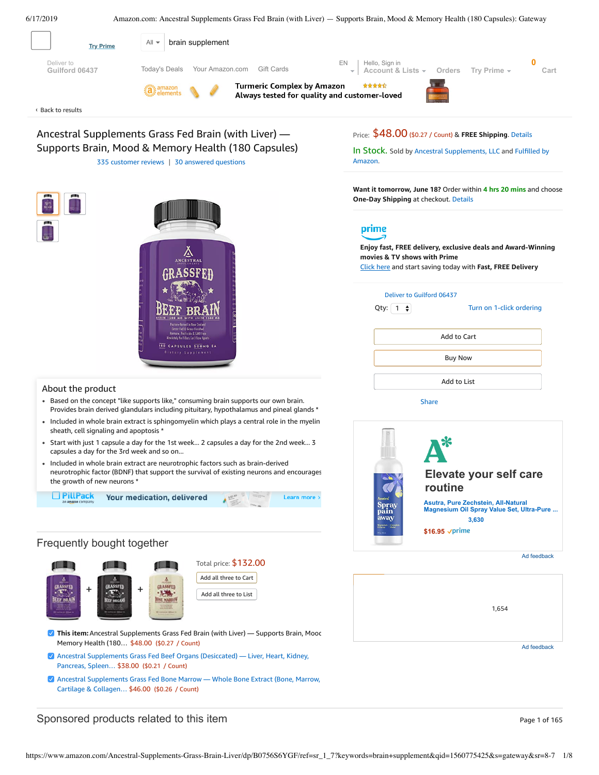<span id="page-0-0"></span>

# Sponsored products related to this item **Page 1** of 165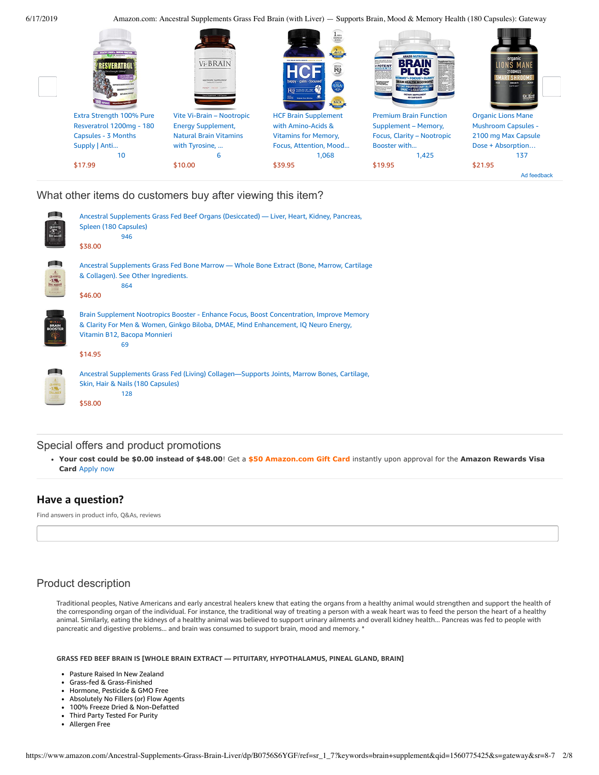

What other items do customers buy after viewing this item?

| p 1                  | Ancestral Supplements Grass Fed Beef Organs (Desiccated) — Liver, Heart, Kidney, Pancreas,<br>Spleen (180 Capsules)<br>946<br>\$38.00                                                                                           |
|----------------------|---------------------------------------------------------------------------------------------------------------------------------------------------------------------------------------------------------------------------------|
| Æ<br>ERASSFEI        | Ancestral Supplements Grass Fed Bone Marrow — Whole Bone Extract (Bone, Marrow, Cartilage<br>& Collagen). See Other Ingredients.<br>864<br>\$46.00                                                                              |
|                      | Brain Supplement Nootropics Booster - Enhance Focus, Boost Concentration, Improve Memory<br>& Clarity For Men & Women, Ginkgo Biloba, DMAE, Mind Enhancement, IQ Neuro Energy,<br>Vitamin B12, Bacopa Monnieri<br>69<br>\$14.95 |
| ρm.<br><b>ALLAGE</b> | Ancestral Supplements Grass Fed (Living) Collagen—Supports Joints, Marrow Bones, Cartilage,<br>Skin, Hair & Nails (180 Capsules)<br>128<br>\$58.00                                                                              |

# Special offers and product promotions

**[Your cost could be \\$0.00 instead of \\$48.00](https://www.amazon.com/gp/cobrandcard/marketing.html?pr=con321&inc=50gcUnrec&ts=cmj8jxnh6887yemqw2zvhxwusanixyd&dasin=B0756S6YGF&plattr=math&place=detailpage&imp=666f417a-f5df-4fa1-8066-86494403c19b)**! Get a **\$50 Amazon.com Gift Card** instantly upon approval for the **Amazon Rewards Visa Card** Apply now

# **Have a question?**

Find answers in product info, Q&As, reviews

# Product description

Traditional peoples, Native Americans and early ancestral healers knew that eating the organs from a healthy animal would strengthen and support the health of the corresponding organ of the individual. For instance, the traditional way of treating a person with a weak heart was to feed the person the heart of a healthy animal. Similarly, eating the kidneys of a healthy animal was believed to support urinary ailments and overall kidney health... Pancreas was fed to people with pancreatic and digestive problems... and brain was consumed to support brain, mood and memory. \*

**GRASS FED BEEF BRAIN IS [WHOLE BRAIN EXTRACT — PITUITARY, HYPOTHALAMUS, PINEAL GLAND, BRAIN]**

- Pasture Raised In New Zealand
- Grass-fed & Grass-Finished
- Hormone, Pesticide & GMO Free  $\bullet$
- Absolutely No Fillers (or) Flow Agents  $\bullet$
- $\bullet$ 100% Freeze Dried & Non-Defatted
- $\bullet$ Third Party Tested For Purity
- Allergen Free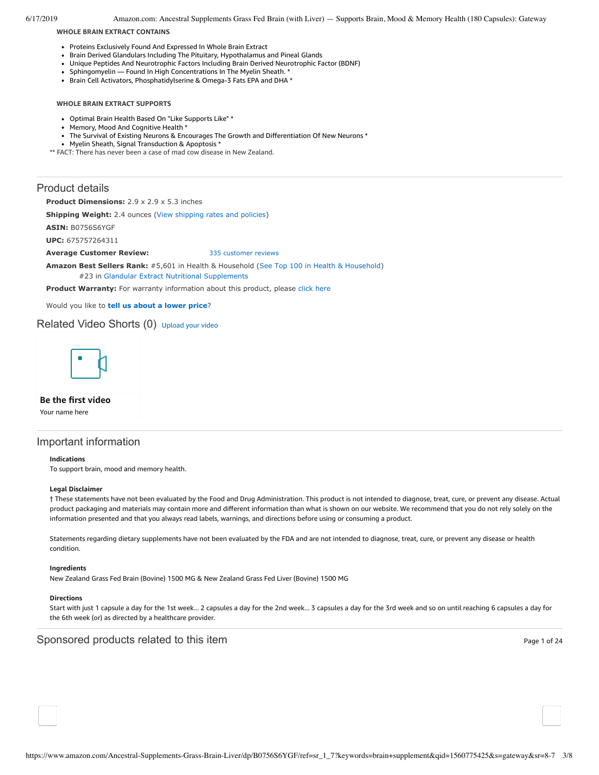6/17/2019 Amazon.com: Ancestral Supplements Grass Fed Brain (with Liver) — Supports Brain, Mood & Memory Health (180 Capsules): Gateway

**WHOLE BRAIN EXTRACT CONTAINS**

- Proteins Exclusively Found And Expressed In Whole Brain Extract
- Brain Derived Glandulars Including The Pituitary, Hypothalamus and Pineal Glands
- $\bullet$ Unique Peptides And Neurotrophic Factors Including Brain Derived Neurotrophic Factor (BDNF)
- Sphingomyelin Found In High Concentrations In The Myelin Sheath. \*
- Brain Cell Activators, Phosphatidylserine & Omega-3 Fats EPA and DHA \*

## **WHOLE BRAIN EXTRACT SUPPORTS**

- Optimal Brain Health Based On "Like Supports Like" \*
- Memory, Mood And Cognitive Health \*
- The Survival of Existing Neurons & Encourages The Growth and Differentiation Of New Neurons \*
- Myelin Sheath, Signal Transduction & Apoptosis \*

\*\* FACT: There has never been a case of mad cow disease in New Zealand.

# Product details

**Product Dimensions:** 2.9 x 2.9 x 5.3 inches

**Shipping Weight:** 2.4 ounces [\(View shipping rates and policies\)](https://www.amazon.com/gp/help/seller/shipping.html/ref=dp_pd_shipping?ie=UTF8&asin=B0756S6YGF&seller=ATVPDKIKX0DER)

**ASIN:** B0756S6YGF

**UPC:** 675757264311

## **Average Customer Review:** [335 customer reviews](https://www.amazon.com/product-reviews/B0756S6YGF/ref=acr_dpproductdetail_text?ie=UTF8&showViewpoints=1)

**Amazon Best Sellers Rank:** #5,601 in Health & Household [\(See Top 100 in Health & Household](https://www.amazon.com/gp/bestsellers/hpc/ref=pd_zg_ts_hpc)) #23 in [Glandular Extract Nutritional Supplements](https://www.amazon.com/gp/bestsellers/hpc/3773631/ref=pd_zg_hrsr_hpc)

Product Warranty: For warranty information about this product, please [click here](https://www.amazon.com/gp/feature.html/ref=dp_warranty_request_3P?ie=UTF8&docId=1002406021)

Would you like to **tell us about a lower price**?

# Related Video Shorts (0) [Upload](https://www.amazon.com/creatorhub/video/upload?productASIN=B0756S6YGF&referringURL=ZHAvQjA3NTZTNllHRg%3D%3D&ref=RVSW) your video



**Be the first video**

Your name here

# Important information

#### **Indications**

To support brain, mood and memory health.

#### **Legal Disclaimer**

† These statements have not been evaluated by the Food and Drug Administration. This product is not intended to diagnose, treat, cure, or prevent any disease. Actual product packaging and materials may contain more and different information than what is shown on our website. We recommend that you do not rely solely on the information presented and that you always read labels, warnings, and directions before using or consuming a product.

Statements regarding dietary supplements have not been evaluated by the FDA and are not intended to diagnose, treat, cure, or prevent any disease or health condition.

#### **Ingredients**

New Zealand Grass Fed Brain (Bovine) 1500 MG & New Zealand Grass Fed Liver (Bovine) 1500 MG

#### **Directions**

Start with just 1 capsule a day for the 1st week... 2 capsules a day for the 2nd week... 3 capsules a day for the 3rd week and so on until reaching 6 capsules a day for the 6th week (or) as directed by a healthcare provider.

# Sponsored products related to this item **Page 1 of 24** and 24 and 24 and 25 and 26 and 26 and 26 and 26 and 26 and 26 and 26 and 26 and 26 and 26 and 26 and 26 and 26 and 26 and 26 and 26 and 27 and 27 and 27 and 27 and 27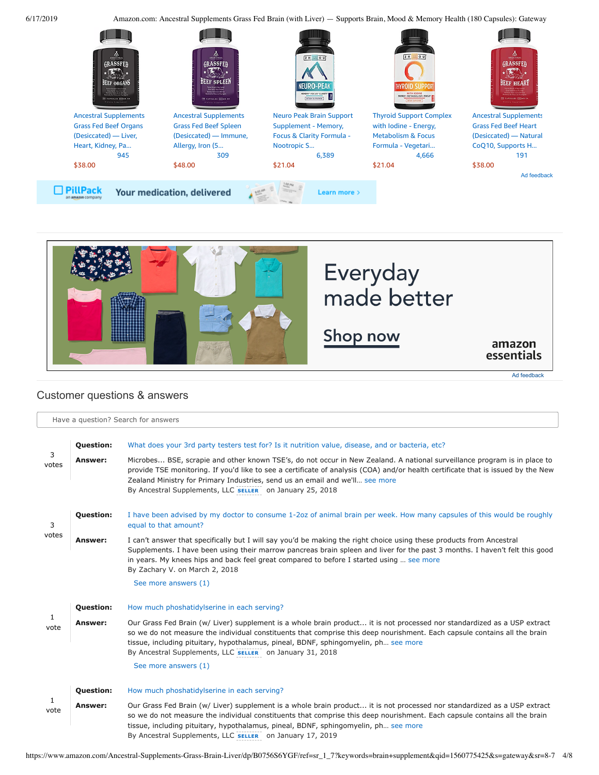6/17/2019 Amazon.com: Ancestral Supplements Grass Fed Brain (with Liver) — Supports Brain, Mood & Memory Health (180 Capsules): Gateway





# <span id="page-3-0"></span>Customer questions & answers

|                      | Have a question? Search for answers |                                                                                                                                                                                                                                                                                                                                                                                                          |  |  |  |  |
|----------------------|-------------------------------------|----------------------------------------------------------------------------------------------------------------------------------------------------------------------------------------------------------------------------------------------------------------------------------------------------------------------------------------------------------------------------------------------------------|--|--|--|--|
|                      |                                     |                                                                                                                                                                                                                                                                                                                                                                                                          |  |  |  |  |
| 3<br>votes           | <b>Question:</b>                    | What does your 3rd party testers test for? Is it nutrition value, disease, and or bacteria, etc?                                                                                                                                                                                                                                                                                                         |  |  |  |  |
|                      | Answer:                             | Microbes BSE, scrapie and other known TSE's, do not occur in New Zealand. A national surveillance program is in place to<br>provide TSE monitoring. If you'd like to see a certificate of analysis (COA) and/or health certificate that is issued by the New<br>Zealand Ministry for Primary Industries, send us an email and we'll see more<br>By Ancestral Supplements, LLC SELLER on January 25, 2018 |  |  |  |  |
| 3                    | <b>Question:</b>                    | I have been advised by my doctor to consume 1-2oz of animal brain per week. How many capsules of this would be roughly<br>equal to that amount?                                                                                                                                                                                                                                                          |  |  |  |  |
| votes                | Answer:                             | I can't answer that specifically but I will say you'd be making the right choice using these products from Ancestral<br>Supplements. I have been using their marrow pancreas brain spleen and liver for the past 3 months. I haven't felt this good<br>in years. My knees hips and back feel great compared to before I started using  see more<br>By Zachary V. on March 2, 2018                        |  |  |  |  |
|                      |                                     | See more answers (1)                                                                                                                                                                                                                                                                                                                                                                                     |  |  |  |  |
|                      | <b>Question:</b>                    | How much phoshatidylserine in each serving?                                                                                                                                                                                                                                                                                                                                                              |  |  |  |  |
| $\mathbf{1}$<br>vote | Answer:                             | Our Grass Fed Brain (w/ Liver) supplement is a whole brain product it is not processed nor standardized as a USP extract<br>so we do not measure the individual constituents that comprise this deep nourishment. Each capsule contains all the brain<br>tissue, including pituitary, hypothalamus, pineal, BDNF, sphingomyelin, ph see more<br>By Ancestral Supplements, LLC SELLER on January 31, 2018 |  |  |  |  |
|                      |                                     | See more answers (1)                                                                                                                                                                                                                                                                                                                                                                                     |  |  |  |  |
|                      | <b>Question:</b>                    | How much phoshatidylserine in each serving?                                                                                                                                                                                                                                                                                                                                                              |  |  |  |  |
| $\mathbf{1}$<br>vote | Answer:                             | Our Grass Fed Brain (w/ Liver) supplement is a whole brain product it is not processed nor standardized as a USP extract<br>so we do not measure the individual constituents that comprise this deep nourishment. Each capsule contains all the brain<br>tissue, including pituitary, hypothalamus, pineal, BDNF, sphingomyelin, ph see more<br>By Ancestral Supplements, LLC SELLER on January 17, 2019 |  |  |  |  |

https://www.amazon.com/Ancestral-Supplements-Grass-Brain-Liver/dp/B0756S6YGF/ref=sr\_1\_7?keywords=brain+supplement&qid=1560775425&s=gateway&sr=8-7 4/8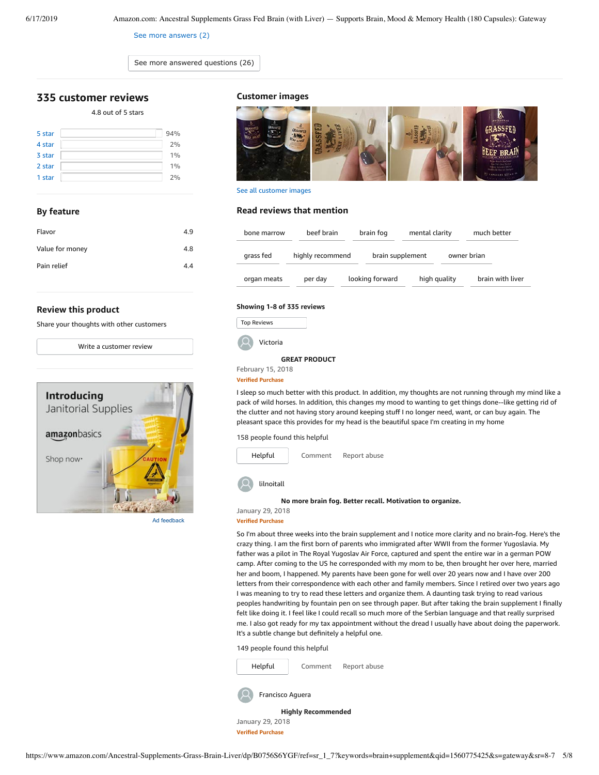[See more answers \(2\)](https://www.amazon.com/ask/questions/Tx2YNJIE6MJX1H5/ref=ask_dp_dpmw_al_hza)

[See more answered questions \(26\)](https://www.amazon.com/ask/questions/asin/B0756S6YGF/ref=ask_dp_dpmw_ql_hza?isAnswered=true)

# <span id="page-4-0"></span>**[335 customer](https://www.amazon.com/Ancestral-Supplements-Grass-Brain-Liver/product-reviews/B0756S6YGF/ref=cm_cr_dp_d_show_all_top?ie=UTF8&reviewerType=all_reviews) reviews**

## 4.8 out of 5 [stars](javascript:void(0))

| 5 star | 94% |
|--------|-----|
| 4 star | 2%  |
| 3 star | 1%  |
| 2 star | 1%  |
| 1 star | 2%  |

### **By feature**

| Flavor          | 4.9 |
|-----------------|-----|
| Value for money | 4.8 |
| Pain relief     | 4.4 |

#### **Review this product**

Share your thoughts with other customers

Write a [customer](https://www.amazon.com/review/create-review/ref=cm_cr_dp_d_wr_but_top?ie=UTF8&channel=glance-detail&asin=B0756S6YGF) review



Ad feedback

## **Customer images**



See all customer images

## **Read reviews that mention**

| bone marrow | beef brain       | brain fog        | mental clarity | much better      |
|-------------|------------------|------------------|----------------|------------------|
| grass fed   | highly recommend | brain supplement |                | owner brian      |
| organ meats | per day          | looking forward  | high quality   | brain with liver |

### **Showing 1-8 of 335 reviews**



Victoria

**GREAT [PRODUCT](https://www.amazon.com/gp/customer-reviews/RCRSWD7VF4FDD/ref=cm_cr_dp_d_rvw_ttl?ie=UTF8&ASIN=B0756S6YGF)**

#### February 15, 2018 **Verified Purchase**

I sleep so much better with this product. In addition, my thoughts are not running through my mind like a pack of wild horses. In addition, this changes my mood to wanting to get things done--like getting rid of the clutter and not having story around keeping stuff I no longer need, want, or can buy again. The pleasant space this provides for my head is the beautiful space I'm creating in my home

158 people found this helpful

| Helpful    | Comment | Report abuse |  |
|------------|---------|--------------|--|
| lilnoitall |         |              |  |

**No more brain fog. Better recall. [Motivation](https://www.amazon.com/gp/customer-reviews/R23C59LKR228Y4/ref=cm_cr_dp_d_rvw_ttl?ie=UTF8&ASIN=B0756S6YGF) to organize.**

January 29, 2018

**Verified Purchase** So I'm about three weeks into the brain supplement and I notice more clarity and no brain-fog. Here's the crazy thing. I am the first born of parents who immigrated after WWII from the former Yugoslavia. My father was a pilot in The Royal Yugoslav Air Force, captured and spent the entire war in a german POW camp. After coming to the US he corresponded with my mom to be, then brought her over here, married her and boom, I happened. My parents have been gone for well over 20 years now and I have over 200 letters from their correspondence with each other and family members. Since I retired over two years ago I was meaning to try to read these letters and organize them. A daunting task trying to read various peoples handwriting by fountain pen on see through paper. But after taking the brain supplement I finally felt like doing it. I feel like I could recall so much more of the Serbian language and that really surprised me. I also got ready for my tax appointment without the dread I usually have about doing the paperwork.

#### 149 people found this helpful



It's a subtle change but definitely a helpful one.

January 29, 2018 **Verified Purchase**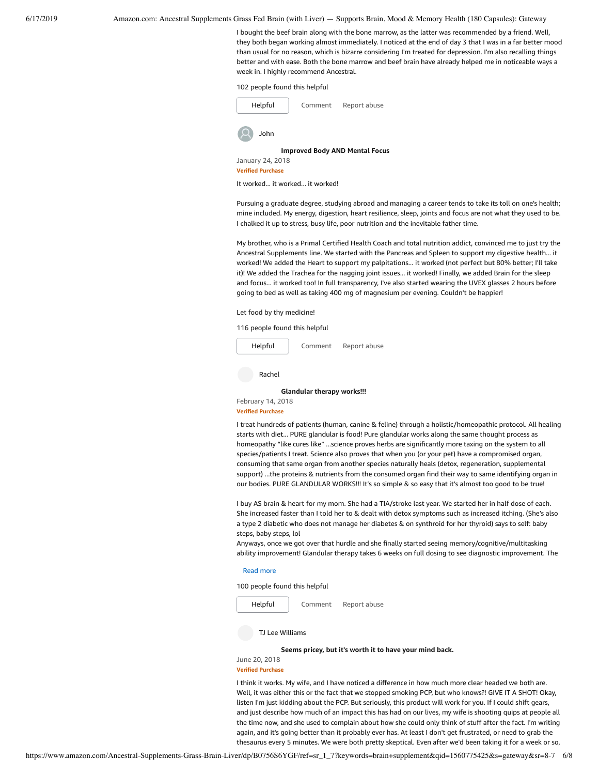6/17/2019 Amazon.com: Ancestral Supplements Grass Fed Brain (with Liver) — Supports Brain, Mood & Memory Health (180 Capsules): Gateway

I bought the beef brain along with the bone marrow, as the latter was recommended by a friend. Well, they both began working almost immediately. I noticed at the end of day 3 that I was in a far better mood than usual for no reason, which is bizarre considering I'm treated for depression. I'm also recalling things better and with ease. Both the bone marrow and beef brain have already helped me in noticeable ways a week in. I highly recommend Ancestral.

102 people found this helpful



It worked... it worked... it worked!

Pursuing a graduate degree, studying abroad and managing a career tends to take its toll on one's health; mine included. My energy, digestion, heart resilience, sleep, joints and focus are not what they used to be. I chalked it up to stress, busy life, poor nutrition and the inevitable father time.

My brother, who is a Primal Certified Health Coach and total nutrition addict, convinced me to just try the Ancestral Supplements line. We started with the Pancreas and Spleen to support my digestive health... it worked! We added the Heart to support my palpitations... it worked (not perfect but 80% better; I'll take it)! We added the Trachea for the nagging joint issues... it worked! Finally, we added Brain for the sleep and focus... it worked too! In full transparency, I've also started wearing the UVEX glasses 2 hours before going to bed as well as taking 400 mg of magnesium per evening. Couldn't be happier!

Let food by thy medicine!

116 people found this helpful



Rachel

**[Glandular](https://www.amazon.com/gp/customer-reviews/R3AQ51IP5CTMFY/ref=cm_cr_dp_d_rvw_ttl?ie=UTF8&ASIN=B0756S6YGF) therapy works!!!**

February 14, 2018 **Verified Purchase**

I treat hundreds of patients (human, canine & feline) through a holistic/homeopathic protocol. All healing starts with diet... PURE glandular is food! Pure glandular works along the same thought process as homeopathy "like cures like" ...science proves herbs are significantly more taxing on the system to all species/patients I treat. Science also proves that when you (or your pet) have a compromised organ, consuming that same organ from another species naturally heals (detox, regeneration, supplemental support) ...the proteins & nutrients from the consumed organ find their way to same identifying organ in our bodies. PURE GLANDULAR WORKS!!! It's so simple & so easy that it's almost too good to be true!

I buy AS brain & heart for my mom. She had a TIA/stroke last year. We started her in half dose of each. She increased faster than I told her to & dealt with detox symptoms such as increased itching. (She's also a type 2 diabetic who does not manage her diabetes & on synthroid for her thyroid) says to self: baby steps, baby steps, lol

Anyways, once we got over that hurdle and she finally started seeing memory/cognitive/multitasking ability improvement! Glandular therapy takes 6 weeks on full dosing to see diagnostic improvement. The

#### Read more

100 people found this helpful



TJ Lee Williams

**Seems pricey, but it's worth it [to have](https://www.amazon.com/gp/customer-reviews/R3B344SBO1WLAK/ref=cm_cr_dp_d_rvw_ttl?ie=UTF8&ASIN=B0756S6YGF) your mind back.**

June 20, 2018 **Verified Purchase**

I think it works. My wife, and I have noticed a difference in how much more clear headed we both are. Well, it was either this or the fact that we stopped smoking PCP, but who knows?! GIVE IT A SHOT! Okay, listen I'm just kidding about the PCP. But seriously, this product will work for you. If I could shift gears, and just describe how much of an impact this has had on our lives, my wife is shooting quips at people all the time now, and she used to complain about how she could only think of stuff after the fact. I'm writing again, and it's going better than it probably ever has. At least I don't get frustrated, or need to grab the thesaurus every 5 minutes. We were both pretty skeptical. Even after we'd been taking it for a week or so,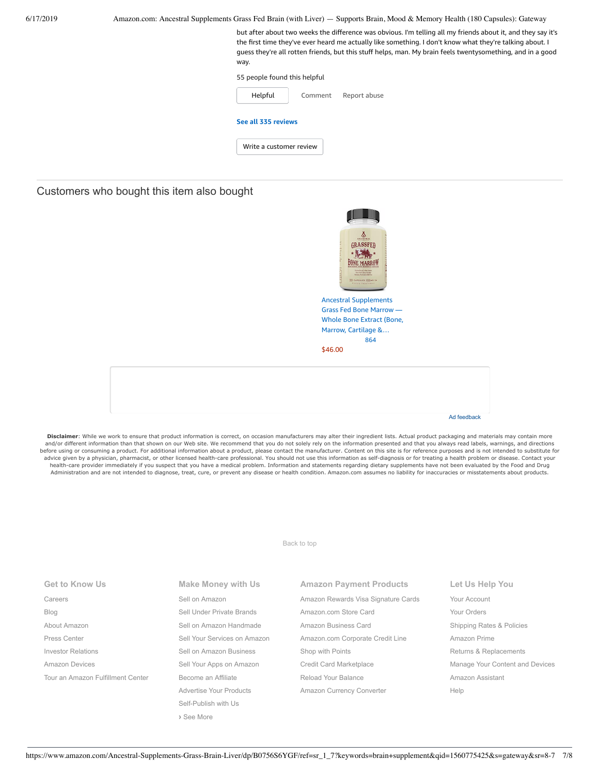| 6/17/2019 | Amazon.com: Ancestral Supplements Grass Fed Brain (with Liver) — Supports Brain, Mood & Memory Health (180 Capsules): Gateway                                                                                                                                                                                                                  |
|-----------|------------------------------------------------------------------------------------------------------------------------------------------------------------------------------------------------------------------------------------------------------------------------------------------------------------------------------------------------|
|           | but after about two weeks the difference was obvious. I'm telling all my friends about it, and they say it's<br>the first time they've ever heard me actually like something. I don't know what they're talking about. I<br>guess they're all rotten friends, but this stuff helps, man. My brain feels twentysomething, and in a good<br>way. |
|           | 55 people found this helpful                                                                                                                                                                                                                                                                                                                   |
|           | Helpful<br>Report abuse<br>Comment                                                                                                                                                                                                                                                                                                             |
|           | See all 335 reviews                                                                                                                                                                                                                                                                                                                            |
|           | Write a customer review                                                                                                                                                                                                                                                                                                                        |
|           |                                                                                                                                                                                                                                                                                                                                                |

Customers who bought this item also bought

| ANCEST<br><b>RAL</b><br>ASSFF<br>Perform Reine Ch New Zealand<br><b>Greatful &amp; Greatfieldies</b><br><b>Borona Pericile E GMT free</b><br>PEULES SODNO EN |
|--------------------------------------------------------------------------------------------------------------------------------------------------------------|
| <b>Ancestral Supplements</b>                                                                                                                                 |
| <b>Grass Fed Bone Marrow</b>                                                                                                                                 |
| <b>Whole Bone Extract (Bone,</b>                                                                                                                             |
| Marrow, Cartilage &                                                                                                                                          |
| 864                                                                                                                                                          |

[\\$46.00](https://www.amazon.com/Ancestral-Supplements-Grass-Bone-Marrow/dp/B0736BQHYJ/ref=pd_sim_121_1/143-6729050-3493109?_encoding=UTF8&pd_rd_i=B0736BQHYJ&pd_rd_r=f8e00047-910e-11e9-85d5-853f2638c1cd&pd_rd_w=iQqdL&pd_rd_wg=fgfhN&pf_rd_p=90485860-83e9-4fd9-b838-b28a9b7fda30&pf_rd_r=5VD04X5EKN8XFXB6TQGA&psc=1&refRID=5VD04X5EKN8XFXB6TQGA)

Ad feedback

Disclaimer: While we work to ensure that product information is correct, on occasion manufacturers may alter their ingredient lists. Actual product packaging and materials may contain more and/or different information than that shown on our Web site. We recommend that you do not solely rely on the information presented and that you always read labels, warnings, and directions before using or consuming a product. For additional information about a product, please contact the manufacturer. Content on this site is for reference purposes and is not intended to substitute for<br>advice given by a physi Administration and are not intended to diagnose, treat, cure, or prevent any disease or health condition. Amazon.com assumes no liability for inaccuracies or misstatements about products.

[Back to top](#page-0-0)

| <b>Get to Know Us</b>             | Make Money with Us           | <b>Amazon Payment Products</b>      | Let Us Help You                 |
|-----------------------------------|------------------------------|-------------------------------------|---------------------------------|
| Careers                           | Sell on Amazon               | Amazon Rewards Visa Signature Cards | Your Account                    |
| Blog                              | Sell Under Private Brands    | Amazon.com Store Card               | Your Orders                     |
| About Amazon                      | Sell on Amazon Handmade      | Amazon Business Card                | Shipping Rates & Policies       |
| Press Center                      | Sell Your Services on Amazon | Amazon.com Corporate Credit Line    | Amazon Prime                    |
| <b>Investor Relations</b>         | Sell on Amazon Business      | Shop with Points                    | Returns & Replacements          |
| Amazon Devices                    | Sell Your Apps on Amazon     | Credit Card Marketplace             | Manage Your Content and Devices |
| Tour an Amazon Fulfillment Center | Become an Affiliate          | Reload Your Balance                 | Amazon Assistant                |
|                                   | Advertise Your Products      | Amazon Currency Converter           | Help                            |
|                                   | Self-Publish with Us         |                                     |                                 |
|                                   | > See More                   |                                     |                                 |